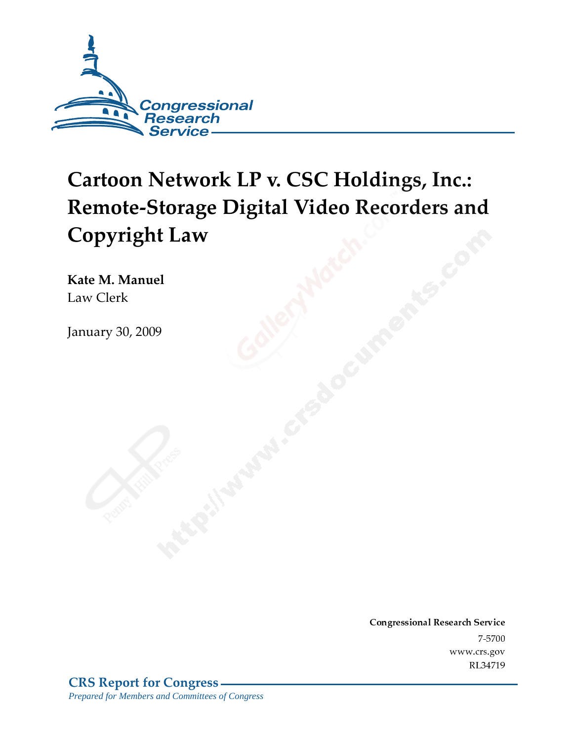

# Cartoon Network LP v. CSC Holdings, Inc.: **Remote-Storage Digital Video Recorders and Copyright Law**

Kate M. Manuel Law Clerk

January 30, 2009

Conglessional Research Service -<br>...  $\frac{1}{2}$ www.crs.gov KL 347 12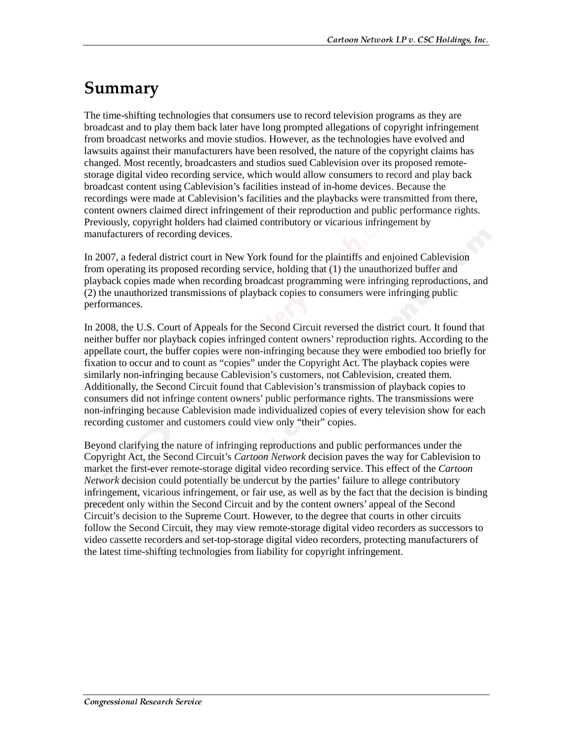## Summary

The time-shifting technologies that consumers use to record television programs as they are broadcast and to play them back later have long prompted allegations of copyright infringement from broadcast networks and movie studios. However, as the technologies have evolved and lawsuits against their manufacturers have been resolved, the nature of the copyright claims has changed. Most recently, broadcasters and studios sued Cablevision over its proposed remotestorage digital video recording service, which would allow consumers to record and play back broadcast content using Cablevision's facilities instead of in-home devices. Because the recordings were made at Cablevision's facilities and the playbacks were transmitted from there, content owners claimed direct infringement of their reproduction and public performance rights. Previously, copyright holders had claimed contributory or vicarious infringement by manufacturers of recording devices.

In 2007, a federal district court in New York found for the plaintiffs and enjoined Cablevision from operating its proposed recording service, holding that (1) the unauthorized buffer and playback copies made when recording broadcast programming were infringing reproductions, and (2) the unauthorized transmissions of playback copies to consumers were infringing public performances.

In 2008, the U.S. Court of Appeals for the Second Circuit reversed the district court. It found that neither buffer nor playback copies infringed content owners' reproduction rights. According to the appellate court, the buffer copies were non-infringing because they were embodied too briefly for fixation to occur and to count as "copies" under the Copyright Act. The playback copies were similarly non-infringing because Cablevision's customers, not Cablevision, created them. Additionally, the Second Circuit found that Cablevision's transmission of playback copies to consumers did not infringe content owners' public performance rights. The transmissions were non-infringing because Cablevision made individualized copies of every television show for each recording customer and customers could view only "their" copies.

Beyond clarifying the nature of infringing reproductions and public performances under the Copyright Act, the Second Circuit's *Cartoon Network* decision paves the way for Cablevision to market the first-ever remote-storage digital video recording service. This effect of the *Cartoon Network* decision could potentially be undercut by the parties' failure to allege contributory infringement, vicarious infringement, or fair use, as well as by the fact that the decision is binding precedent only within the Second Circuit and by the content owners' appeal of the Second Circuit's decision to the Supreme Court. However, to the degree that courts in other circuits follow the Second Circuit, they may view remote-storage digital video recorders as successors to video cassette recorders and set-top-storage digital video recorders, protecting manufacturers of the latest time-shifting technologies from liability for copyright infringement.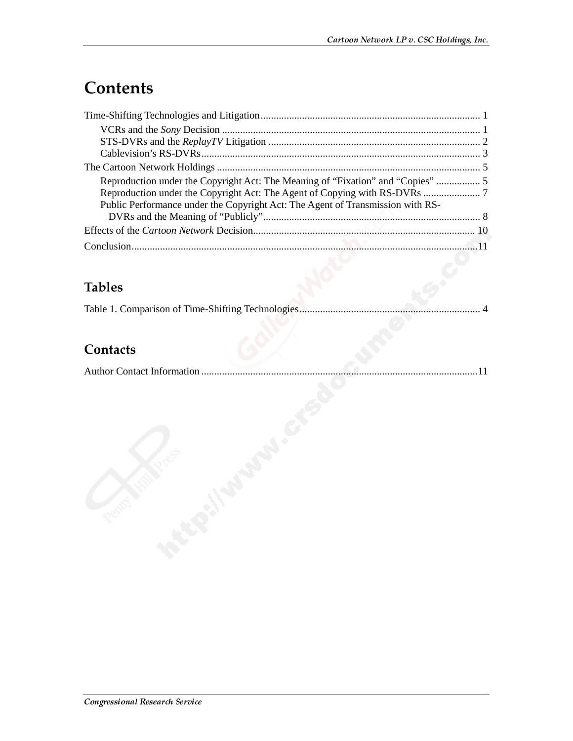# **Contents**

| Reproduction under the Copyright Act: The Meaning of "Fixation" and "Copies"   |  |
|--------------------------------------------------------------------------------|--|
|                                                                                |  |
| Public Performance under the Copyright Act: The Agent of Transmission with RS- |  |
|                                                                                |  |
|                                                                                |  |
|                                                                                |  |
|                                                                                |  |

### **Tables**

|--|--|

#### Contacts

|--|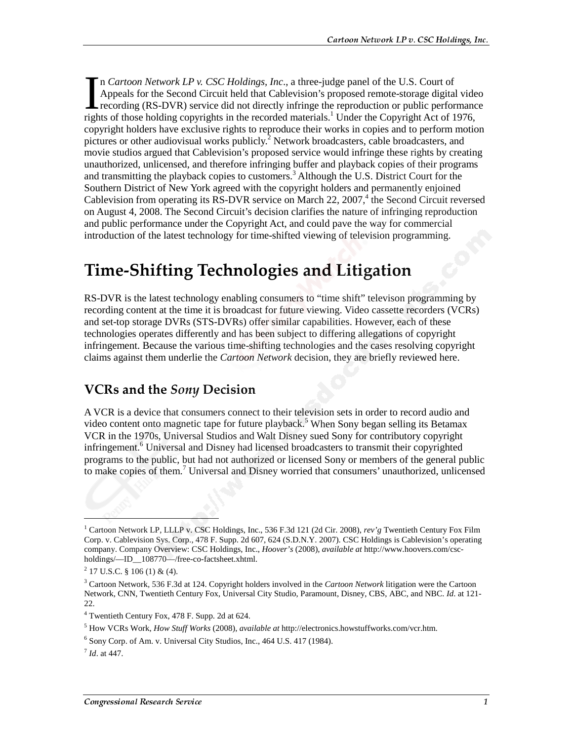n *Cartoon Network LP v. CSC Holdings, Inc*., a three-judge panel of the U.S. Court of Appeals for the Second Circuit held that Cablevision's proposed remote-storage digital video recording (RS-DVR) service did not directly infringe the reproduction or public performance In Cartoon Network LP v. CSC Holdings, Inc., a three-judge panel of the U.S. Court of Appeals for the Second Circuit held that Cablevision's proposed remote-storage digital vide recording (RS-DVR) service did not directly copyright holders have exclusive rights to reproduce their works in copies and to perform motion pictures or other audiovisual works publicly.<sup>2</sup> Network broadcasters, cable broadcasters, and movie studios argued that Cablevision's proposed service would infringe these rights by creating unauthorized, unlicensed, and therefore infringing buffer and playback copies of their programs and transmitting the playback copies to customers.<sup>3</sup> Although the U.S. District Court for the Southern District of New York agreed with the copyright holders and permanently enjoined Cablevision from operating its RS-DVR service on March 22, 2007, $4$  the Second Circuit reversed on August 4, 2008. The Second Circuit's decision clarifies the nature of infringing reproduction and public performance under the Copyright Act, and could pave the way for commercial introduction of the latest technology for time-shifted viewing of television programming.

### **Time-Shifting Technologies and Litigation**

RS-DVR is the latest technology enabling consumers to "time shift" televison programming by recording content at the time it is broadcast for future viewing. Video cassette recorders (VCRs) and set-top storage DVRs (STS-DVRs) offer similar capabilities. However, each of these technologies operates differently and has been subject to differing allegations of copyright infringement. Because the various time-shifting technologies and the cases resolving copyright claims against them underlie the *Cartoon Network* decision, they are briefly reviewed here.

#### **VCRs and the Sony Decision**

A VCR is a device that consumers connect to their television sets in order to record audio and video content onto magnetic tape for future playback.<sup>5</sup> When Sony began selling its Betamax VCR in the 1970s, Universal Studios and Walt Disney sued Sony for contributory copyright infringement.<sup>6</sup> Universal and Disney had licensed broadcasters to transmit their copyrighted programs to the public, but had not authorized or licensed Sony or members of the general public to make copies of them.<sup>7</sup> Universal and Disney worried that consumers' unauthorized, unlicensed

1

<sup>1</sup> Cartoon Network LP, LLLP v. CSC Holdings, Inc., 536 F.3d 121 (2d Cir. 2008), *rev'g* Twentieth Century Fox Film Corp. v. Cablevision Sys. Corp., 478 F. Supp. 2d 607, 624 (S.D.N.Y. 2007). CSC Holdings is Cablevision's operating company. Company Overview: CSC Holdings, Inc., *Hoover's* (2008), *available at* http://www.hoovers.com/cscholdings/—ID\_\_108770—/free-co-factsheet.xhtml.

 $2$  17 U.S.C. § 106 (1) & (4).

<sup>3</sup> Cartoon Network, 536 F.3d at 124. Copyright holders involved in the *Cartoon Network* litigation were the Cartoon Network, CNN, Twentieth Century Fox, Universal City Studio, Paramount, Disney, CBS, ABC, and NBC. *Id*. at 121- 22.

<sup>4</sup> Twentieth Century Fox, 478 F. Supp. 2d at 624.

<sup>5</sup> How VCRs Work, *How Stuff Works* (2008), *available at* http://electronics.howstuffworks.com/vcr.htm.

<sup>&</sup>lt;sup>6</sup> Sony Corp. of Am. v. Universal City Studios, Inc., 464 U.S. 417 (1984).

<sup>7</sup> *Id*. at 447.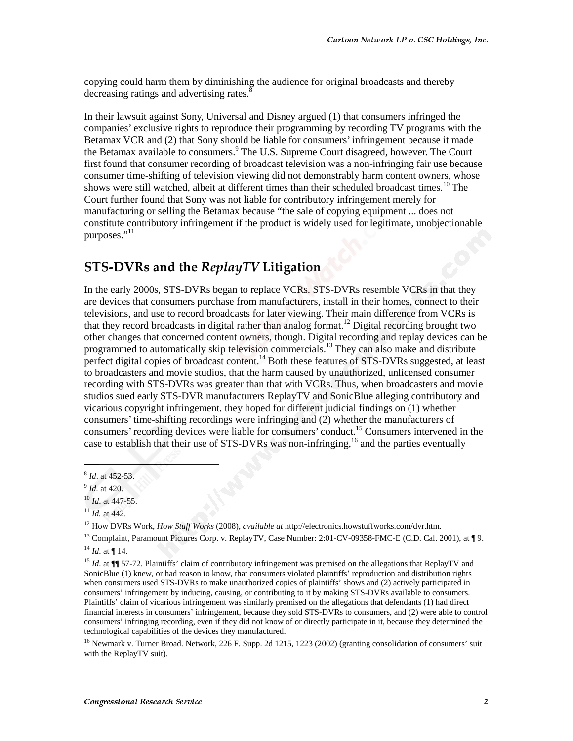copying could harm them by diminishing the audience for original broadcasts and thereby decreasing ratings and advertising rates.<sup>8</sup>

In their lawsuit against Sony, Universal and Disney argued (1) that consumers infringed the companies' exclusive rights to reproduce their programming by recording TV programs with the Betamax VCR and (2) that Sony should be liable for consumers' infringement because it made the Betamax available to consumers.<sup>9</sup> The U.S. Supreme Court disagreed, however. The Court first found that consumer recording of broadcast television was a non-infringing fair use because consumer time-shifting of television viewing did not demonstrably harm content owners, whose shows were still watched, albeit at different times than their scheduled broadcast times.<sup>10</sup> The Court further found that Sony was not liable for contributory infringement merely for manufacturing or selling the Betamax because "the sale of copying equipment ... does not constitute contributory infringement if the product is widely used for legitimate, unobjectionable purposes."<sup>11</sup>

#### ${\rm STS\text{-}DVRs}$  and the  ${\it ReplayTV}$  Litigation  $\blacksquare$

In the early 2000s, STS-DVRs began to replace VCRs. STS-DVRs resemble VCRs in that they are devices that consumers purchase from manufacturers, install in their homes, connect to their televisions, and use to record broadcasts for later viewing. Their main difference from VCRs is that they record broadcasts in digital rather than analog format.<sup>12</sup> Digital recording brought two other changes that concerned content owners, though. Digital recording and replay devices can be programmed to automatically skip television commercials.<sup>13</sup> They can also make and distribute perfect digital copies of broadcast content.<sup>14</sup> Both these features of STS-DVRs suggested, at least to broadcasters and movie studios, that the harm caused by unauthorized, unlicensed consumer recording with STS-DVRs was greater than that with VCRs. Thus, when broadcasters and movie studios sued early STS-DVR manufacturers ReplayTV and SonicBlue alleging contributory and vicarious copyright infringement, they hoped for different judicial findings on (1) whether consumers' time-shifting recordings were infringing and (2) whether the manufacturers of consumers' recording devices were liable for consumers' conduct.15 Consumers intervened in the case to establish that their use of STS-DVRs was non-infringing,<sup>16</sup> and the parties eventually

 $\overline{a}$ 

 $11$  *Id.* at 442.

<sup>8</sup> *Id*. at 452-53.

<sup>9</sup> *Id.* at 420.

<sup>10</sup> *Id*. at 447-55.

<sup>12</sup> How DVRs Work, *How Stuff Works* (2008), *available at* http://electronics.howstuffworks.com/dvr.htm.

<sup>&</sup>lt;sup>13</sup> Complaint, Paramount Pictures Corp. v. ReplayTV, Case Number: 2:01-CV-09358-FMC-E (C.D. Cal. 2001), at ¶ 9.  $^{14}$  *Id.* at ¶ 14.

<sup>&</sup>lt;sup>15</sup> *Id.* at ¶¶ 57-72. Plaintiffs' claim of contributory infringement was premised on the allegations that ReplayTV and SonicBlue (1) knew, or had reason to know, that consumers violated plaintiffs' reproduction and distribution rights when consumers used STS-DVRs to make unauthorized copies of plaintiffs' shows and (2) actively participated in consumers' infringement by inducing, causing, or contributing to it by making STS-DVRs available to consumers. Plaintiffs' claim of vicarious infringement was similarly premised on the allegations that defendants (1) had direct financial interests in consumers' infringement, because they sold STS-DVRs to consumers, and (2) were able to control consumers' infringing recording, even if they did not know of or directly participate in it, because they determined the technological capabilities of the devices they manufactured.

<sup>&</sup>lt;sup>16</sup> Newmark v. Turner Broad. Network, 226 F. Supp. 2d 1215, 1223 (2002) (granting consolidation of consumers' suit with the ReplayTV suit).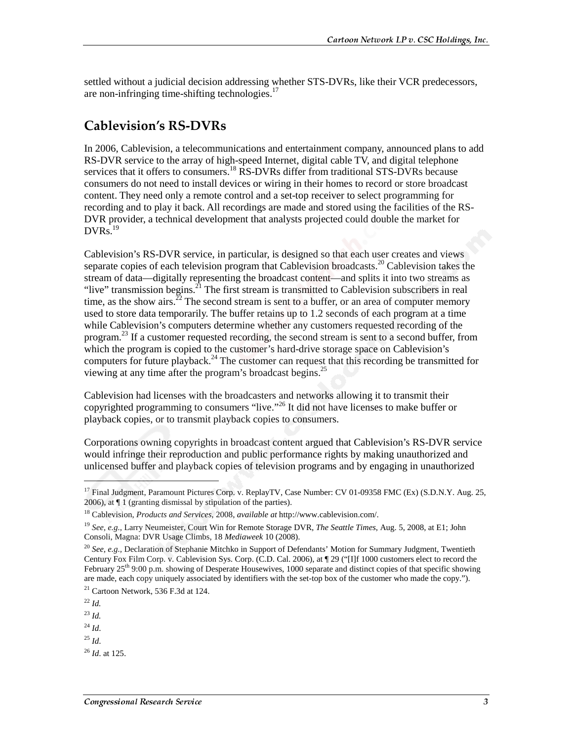settled without a judicial decision addressing whether STS-DVRs, like their VCR predecessors, are non-infringing time-shifting technologies. $17$ 

#### **Cablevision's RS-DVRs**

In 2006, Cablevision, a telecommunications and entertainment company, announced plans to add RS-DVR service to the array of high-speed Internet, digital cable TV, and digital telephone services that it offers to consumers.<sup>18</sup> RS-DVRs differ from traditional STS-DVRs because consumers do not need to install devices or wiring in their homes to record or store broadcast content. They need only a remote control and a set-top receiver to select programming for recording and to play it back. All recordings are made and stored using the facilities of the RS-DVR provider, a technical development that analysts projected could double the market for  $DVRs.<sup>19</sup>$ 

Cablevision's RS-DVR service, in particular, is designed so that each user creates and views separate copies of each television program that Cablevision broadcasts.<sup>20</sup> Cablevision takes the stream of data—digitally representing the broadcast content—and splits it into two streams as "live" transmission begins.<sup>21</sup> The first stream is transmitted to Cablevision subscribers in real time, as the show airs.<sup>22</sup> The second stream is sent to a buffer, or an area of computer memory used to store data temporarily. The buffer retains up to 1.2 seconds of each program at a time while Cablevision's computers determine whether any customers requested recording of the program.<sup>23</sup> If a customer requested recording, the second stream is sent to a second buffer, from which the program is copied to the customer's hard-drive storage space on Cablevision's computers for future playback.<sup>24</sup> The customer can request that this recording be transmitted for viewing at any time after the program's broadcast begins.25

Cablevision had licenses with the broadcasters and networks allowing it to transmit their copyrighted programming to consumers "live."<sup>26</sup> It did not have licenses to make buffer or playback copies, or to transmit playback copies to consumers.

Corporations owning copyrights in broadcast content argued that Cablevision's RS-DVR service would infringe their reproduction and public performance rights by making unauthorized and unlicensed buffer and playback copies of television programs and by engaging in unauthorized

<sup>22</sup> *Id.*

 $\overline{a}$ 

<sup>23</sup> *Id.*

 $^{24}$  *Id.* 

 $^{25}$  *Id.* 

<sup>&</sup>lt;sup>17</sup> Final Judgment, Paramount Pictures Corp. v. ReplayTV, Case Number: CV 01-09358 FMC (Ex) (S.D.N.Y. Aug. 25, 2006), at ¶ 1 (granting dismissal by stipulation of the parties).

<sup>18</sup> Cablevision, *Products and Services*, 2008, *available at* http://www.cablevision.com/.

<sup>19</sup> *See, e.g.*, Larry Neumeister, Court Win for Remote Storage DVR, *The Seattle Times*, Aug. 5, 2008, at E1; John Consoli, Magna: DVR Usage Climbs, 18 *Mediaweek* 10 (2008).

<sup>20</sup> *See, e.g.,* Declaration of Stephanie Mitchko in Support of Defendants' Motion for Summary Judgment, Twentieth Century Fox Film Corp. v. Cablevision Sys. Corp. (C.D. Cal. 2006), at ¶ 29 ("[I]f 1000 customers elect to record the February  $25<sup>th</sup>$  9:00 p.m. showing of Desperate Housewives, 1000 separate and distinct copies of that specific showing are made, each copy uniquely associated by identifiers with the set-top box of the customer who made the copy.").

<sup>21</sup> Cartoon Network, 536 F.3d at 124.

<sup>26</sup> *Id*. at 125.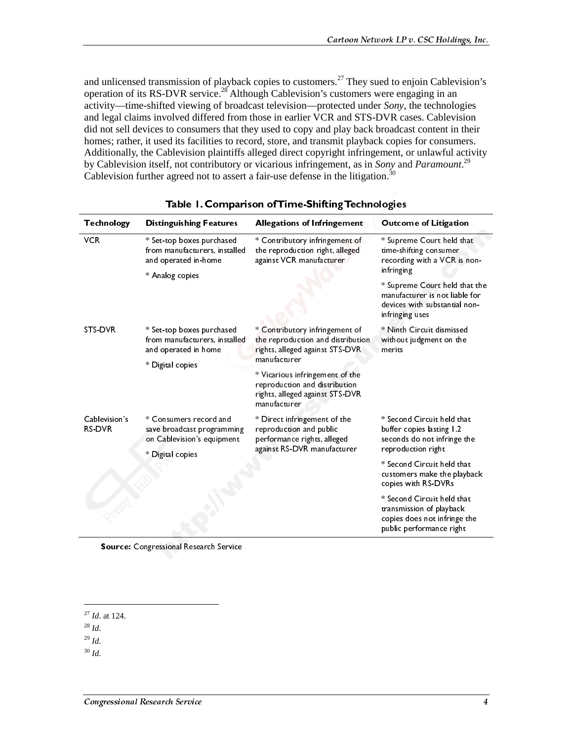and unlicensed transmission of playback copies to customers.<sup>27</sup> They sued to enjoin Cablevision's operation of its RS-DVR service.28 Although Cablevision's customers were engaging in an activity—time-shifted viewing of broadcast television—protected under *Sony*, the technologies and legal claims involved differed from those in earlier VCR and STS-DVR cases. Cablevision did not sell devices to consumers that they used to copy and play back broadcast content in their homes; rather, it used its facilities to record, store, and transmit playback copies for consumers. Additionally, the Cablevision plaintiffs alleged direct copyright infringement, or unlawful activity by Cablevision itself, not contributory or vicarious infringement, as in *Sony* and *Paramount*. 29 Cablevision further agreed not to assert a fair-use defense in the litigation.<sup>30</sup>

| <b>Technology</b>              | <b>Distinguishing Features</b>                                                                         | <b>Allegations of Infringement</b>                                                                                     | <b>Outcome of Litigation</b>                                                                                                      |  |
|--------------------------------|--------------------------------------------------------------------------------------------------------|------------------------------------------------------------------------------------------------------------------------|-----------------------------------------------------------------------------------------------------------------------------------|--|
| <b>VCR</b>                     | * Set-top boxes purchased<br>from manufacturers, installed<br>and operated in-home                     | * Contributory infringement of<br>the reproduction right, alleged<br>against VCR manufacturer                          | * Supreme Court held that<br>time-shifting consumer<br>recording with a VCR is non-                                               |  |
|                                | * Analog copies                                                                                        |                                                                                                                        | infringing<br>* Supreme Court held that the<br>manufacturer is not liable for<br>devices with substantial non-<br>infringing uses |  |
| <b>STS DVR</b>                 | * Set-top boxes purchased<br>from manufacturers, installed<br>and operated in home<br>* Digital copies | * Contributory infringement of<br>the reproduction and distribution<br>rights, alleged against STS-DVR<br>manufacturer | * Ninth Circuit dismissed<br>without judgment on the<br>merits                                                                    |  |
|                                |                                                                                                        | * Vicarious infringement of the<br>reproduction and distribution<br>rights, alleged against STS-DVR<br>manufacturer    |                                                                                                                                   |  |
| Cablevision's<br><b>RS-DVR</b> | * Consumers record and<br>save broadcast programming<br>on Cablevision's equipment                     | * Direct infringement of the<br>reproduction and public<br>performance rights, alleged<br>against RS-DVR manufacturer  | * Second Circuit held that<br>buffer copies lasting 1.2<br>seconds do not infringe the                                            |  |
|                                | * Digital copies                                                                                       |                                                                                                                        | reproduction right<br>* Second Circuit held that<br>customers make the playback<br>copies with RS-DVRs                            |  |
|                                |                                                                                                        |                                                                                                                        | * Second Circuit held that<br>transmission of playback<br>copies does not infringe the<br>public performance right                |  |

|  |  | Table 1. Comparison of Time-Shifting Technologies |  |
|--|--|---------------------------------------------------|--|
|  |  |                                                   |  |

Source: Congressional Research Service

j

 $^{29}$  *Id.* 

<sup>30</sup> *Id*.

<sup>27</sup> *Id*. at 124.

<sup>28</sup> *Id*.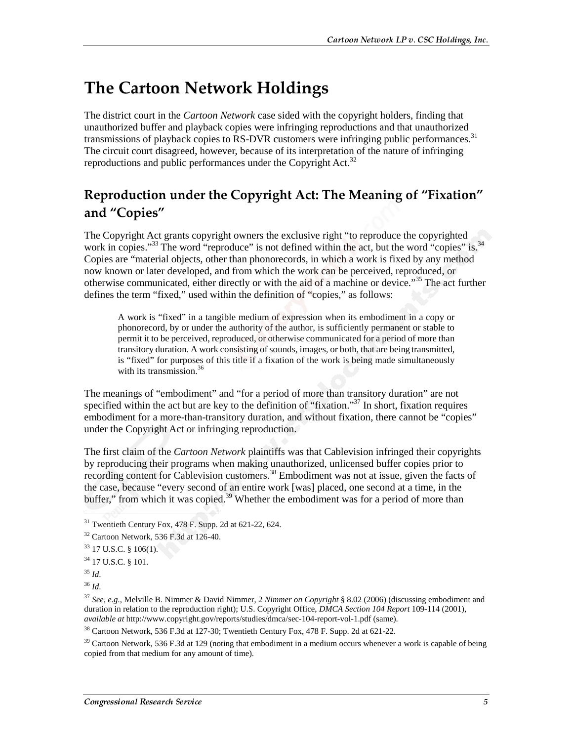# **The Cartoon Network Holdings**

The district court in the *Cartoon Network* case sided with the copyright holders, finding that unauthorized buffer and playback copies were infringing reproductions and that unauthorized transmissions of playback copies to RS-DVR customers were infringing public performances.<sup>31</sup> The circuit court disagreed, however, because of its interpretation of the nature of infringing reproductions and public performances under the Copyright Act.<sup>32</sup>

#### Reproduction under the Copyright Act: The Meaning of "Fixation" and "Copies"

The Copyright Act grants copyright owners the exclusive right "to reproduce the copyrighted work in copies."<sup>33</sup> The word "reproduce" is not defined within the act, but the word "copies" is.<sup>34</sup> Copies are "material objects, other than phonorecords, in which a work is fixed by any method now known or later developed, and from which the work can be perceived, reproduced, or otherwise communicated, either directly or with the aid of a machine or device."35 The act further defines the term "fixed," used within the definition of "copies," as follows:

A work is "fixed" in a tangible medium of expression when its embodiment in a copy or phonorecord, by or under the authority of the author, is sufficiently permanent or stable to permit it to be perceived, reproduced, or otherwise communicated for a period of more than transitory duration. A work consisting of sounds, images, or both, that are being transmitted, is "fixed" for purposes of this title if a fixation of the work is being made simultaneously with its transmission. $36$ 

The meanings of "embodiment" and "for a period of more than transitory duration" are not specified within the act but are key to the definition of "fixation."<sup>37</sup> In short, fixation requires embodiment for a more-than-transitory duration, and without fixation, there cannot be "copies" under the Copyright Act or infringing reproduction.

The first claim of the *Cartoon Network* plaintiffs was that Cablevision infringed their copyrights by reproducing their programs when making unauthorized, unlicensed buffer copies prior to recording content for Cablevision customers.<sup>38</sup> Embodiment was not at issue, given the facts of the case, because "every second of an entire work [was] placed, one second at a time, in the buffer," from which it was copied.<sup>39</sup> Whether the embodiment was for a period of more than

1

<sup>&</sup>lt;sup>31</sup> Twentieth Century Fox, 478 F. Supp. 2d at 621-22, 624.

<sup>32</sup> Cartoon Network, 536 F.3d at 126-40.

 $33$  17 U.S.C. § 106(1).

<sup>34 17</sup> U.S.C. § 101.

<sup>35</sup> *Id*.

<sup>36</sup> *Id*.

<sup>37</sup> *See, e.g.,* Melville B. Nimmer & David Nimmer, 2 *Nimmer on Copyright* § 8.02 (2006) (discussing embodiment and duration in relation to the reproduction right); U.S. Copyright Office, *DMCA Section 104 Report* 109-114 (2001), *available at* http://www.copyright.gov/reports/studies/dmca/sec-104-report-vol-1.pdf (same).

<sup>38</sup> Cartoon Network, 536 F.3d at 127-30; Twentieth Century Fox, 478 F. Supp. 2d at 621-22.

 $39$  Cartoon Network, 536 F.3d at 129 (noting that embodiment in a medium occurs whenever a work is capable of being copied from that medium for any amount of time).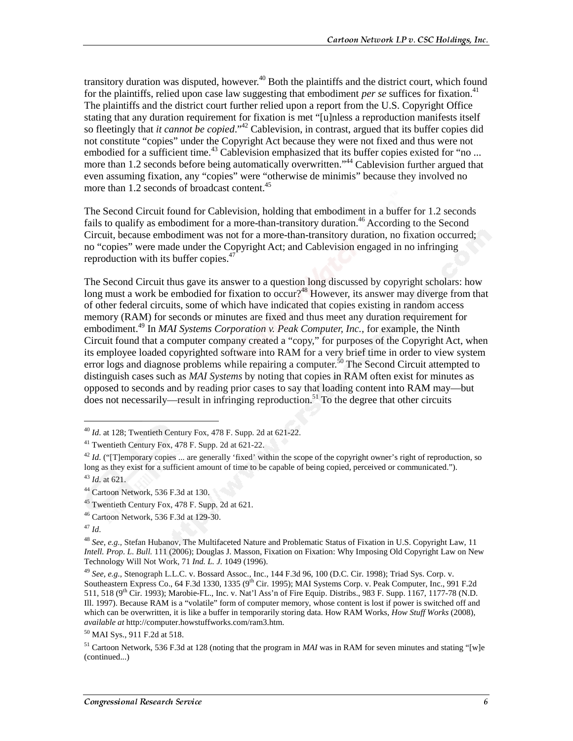transitory duration was disputed, however.<sup>40</sup> Both the plaintiffs and the district court, which found for the plaintiffs, relied upon case law suggesting that embodiment *per se* suffices for fixation.<sup>41</sup> The plaintiffs and the district court further relied upon a report from the U.S. Copyright Office stating that any duration requirement for fixation is met "[u]nless a reproduction manifests itself so fleetingly that *it cannot be copied*."42 Cablevision, in contrast, argued that its buffer copies did not constitute "copies" under the Copyright Act because they were not fixed and thus were not embodied for a sufficient time.<sup>43</sup> Cablevision emphasized that its buffer copies existed for "no ... more than 1.2 seconds before being automatically overwritten."<sup>44</sup> Cablevision further argued that even assuming fixation, any "copies" were "otherwise de minimis" because they involved no more than 1.2 seconds of broadcast content.<sup>45</sup>

The Second Circuit found for Cablevision, holding that embodiment in a buffer for 1.2 seconds fails to qualify as embodiment for a more-than-transitory duration.<sup>46</sup> According to the Second Circuit, because embodiment was not for a more-than-transitory duration, no fixation occurred; no "copies" were made under the Copyright Act; and Cablevision engaged in no infringing reproduction with its buffer copies. $47$ 

The Second Circuit thus gave its answer to a question long discussed by copyright scholars: how long must a work be embodied for fixation to occur?<sup>48</sup> However, its answer may diverge from that of other federal circuits, some of which have indicated that copies existing in random access memory (RAM) for seconds or minutes are fixed and thus meet any duration requirement for embodiment.<sup>49</sup> In *MAI Systems Corporation v. Peak Computer, Inc.*, for example, the Ninth Circuit found that a computer company created a "copy," for purposes of the Copyright Act, when its employee loaded copyrighted software into RAM for a very brief time in order to view system error logs and diagnose problems while repairing a computer.<sup>50</sup> The Second Circuit attempted to distinguish cases such as *MAI Systems* by noting that copies in RAM often exist for minutes as opposed to seconds and by reading prior cases to say that loading content into RAM may—but does not necessarily—result in infringing reproduction.<sup>51</sup> To the degree that other circuits

 $\overline{a}$ 

<sup>40</sup> *Id*. at 128; Twentieth Century Fox, 478 F. Supp. 2d at 621-22.

<sup>41</sup> Twentieth Century Fox, 478 F. Supp. 2d at 621-22.

 $^{42}$  *Id.* ("[T]emporary copies ... are generally 'fixed' within the scope of the copyright owner's right of reproduction, so long as they exist for a sufficient amount of time to be capable of being copied, perceived or communicated."). <sup>43</sup> *Id*. at 621.

<sup>44</sup> Cartoon Network, 536 F.3d at 130.

<sup>45</sup> Twentieth Century Fox, 478 F. Supp. 2d at 621.

<sup>46</sup> Cartoon Network, 536 F.3d at 129-30.

<sup>47</sup> *Id*.

<sup>48</sup> *See, e.g.,* Stefan Hubanov, The Multifaceted Nature and Problematic Status of Fixation in U.S. Copyright Law, 11 *Intell. Prop. L. Bull.* 111 (2006); Douglas J. Masson, Fixation on Fixation: Why Imposing Old Copyright Law on New Technology Will Not Work, 71 *Ind. L. J.* 1049 (1996).

<sup>49</sup> *See, e.g.,* Stenograph L.L.C. v. Bossard Assoc., Inc., 144 F.3d 96, 100 (D.C. Cir. 1998); Triad Sys. Corp. v. Southeastern Express Co., 64 F.3d 1330, 1335 (9<sup>th</sup> Cir. 1995); MAI Systems Corp. v. Peak Computer, Inc., 991 F.2d 511, 518 (9th Cir. 1993); Marobie-FL., Inc. v. Nat'l Ass'n of Fire Equip. Distribs., 983 F. Supp. 1167, 1177-78 (N.D. Ill. 1997). Because RAM is a "volatile" form of computer memory, whose content is lost if power is switched off and which can be overwritten, it is like a buffer in temporarily storing data. How RAM Works, *How Stuff Works* (2008), *available at* http://computer.howstuffworks.com/ram3.htm.

<sup>50</sup> MAI Sys., 911 F.2d at 518.

<sup>51</sup> Cartoon Network, 536 F.3d at 128 (noting that the program in *MAI* was in RAM for seven minutes and stating "[w]e (continued...)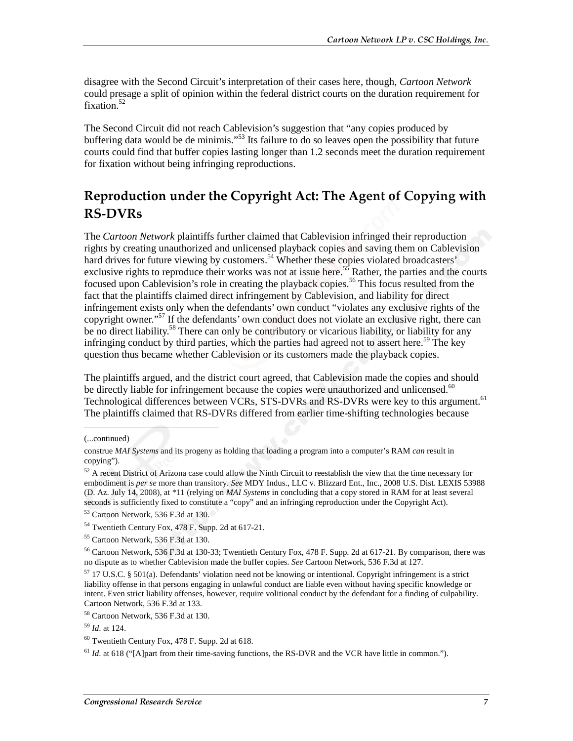disagree with the Second Circuit's interpretation of their cases here, though, *Cartoon Network* could presage a split of opinion within the federal district courts on the duration requirement for fixation.<sup>52</sup>

The Second Circuit did not reach Cablevision's suggestion that "any copies produced by buffering data would be de minimis."<sup>53</sup> Its failure to do so leaves open the possibility that future courts could find that buffer copies lasting longer than 1.2 seconds meet the duration requirement for fixation without being infringing reproductions.

#### Reproduction under the Copyright Act: The Agent of Copying with **RS-DVRs**

The *Cartoon Network* plaintiffs further claimed that Cablevision infringed their reproduction rights by creating unauthorized and unlicensed playback copies and saving them on Cablevision hard drives for future viewing by customers.<sup>54</sup> Whether these copies violated broadcasters' exclusive rights to reproduce their works was not at issue here.<sup>55</sup> Rather, the parties and the courts focused upon Cablevision's role in creating the playback copies.<sup>56</sup> This focus resulted from the fact that the plaintiffs claimed direct infringement by Cablevision, and liability for direct infringement exists only when the defendants' own conduct "violates any exclusive rights of the copyright owner."<sup>57</sup> If the defendants' own conduct does not violate an exclusive right, there can be no direct liability.<sup>58</sup> There can only be contributory or vicarious liability, or liability for any infringing conduct by third parties, which the parties had agreed not to assert here.<sup>59</sup> The key question thus became whether Cablevision or its customers made the playback copies.

The plaintiffs argued, and the district court agreed, that Cablevision made the copies and should be directly liable for infringement because the copies were unauthorized and unlicensed. $60$ Technological differences between VCRs, STS-DVRs and RS-DVRs were key to this argument.<sup>61</sup> The plaintiffs claimed that RS-DVRs differed from earlier time-shifting technologies because

j

<sup>(...</sup>continued)

construe *MAI Systems* and its progeny as holding that loading a program into a computer's RAM *can* result in copying").

<sup>&</sup>lt;sup>52</sup> A recent District of Arizona case could allow the Ninth Circuit to reestablish the view that the time necessary for embodiment is *per se* more than transitory. *See* MDY Indus., LLC v. Blizzard Ent., Inc., 2008 U.S. Dist. LEXIS 53988 (D. Az. July 14, 2008), at \*11 (relying on *MAI Systems* in concluding that a copy stored in RAM for at least several seconds is sufficiently fixed to constitute a "copy" and an infringing reproduction under the Copyright Act).

<sup>53</sup> Cartoon Network, 536 F.3d at 130.

<sup>54</sup> Twentieth Century Fox, 478 F. Supp. 2d at 617-21.

<sup>55</sup> Cartoon Network, 536 F.3d at 130.

<sup>56</sup> Cartoon Network, 536 F.3d at 130-33; Twentieth Century Fox, 478 F. Supp. 2d at 617-21. By comparison, there was no dispute as to whether Cablevision made the buffer copies. *See* Cartoon Network, 536 F.3d at 127.

<sup>57 17</sup> U.S.C. § 501(a). Defendants' violation need not be knowing or intentional. Copyright infringement is a strict liability offense in that persons engaging in unlawful conduct are liable even without having specific knowledge or intent. Even strict liability offenses, however, require volitional conduct by the defendant for a finding of culpability. Cartoon Network, 536 F.3d at 133.

<sup>58</sup> Cartoon Network, 536 F.3d at 130.

<sup>59</sup> *Id*. at 124.

 $60$  Twentieth Century Fox, 478 F. Supp. 2d at 618.

 $61$  *Id.* at 618 ("[A]part from their time-saving functions, the RS-DVR and the VCR have little in common.").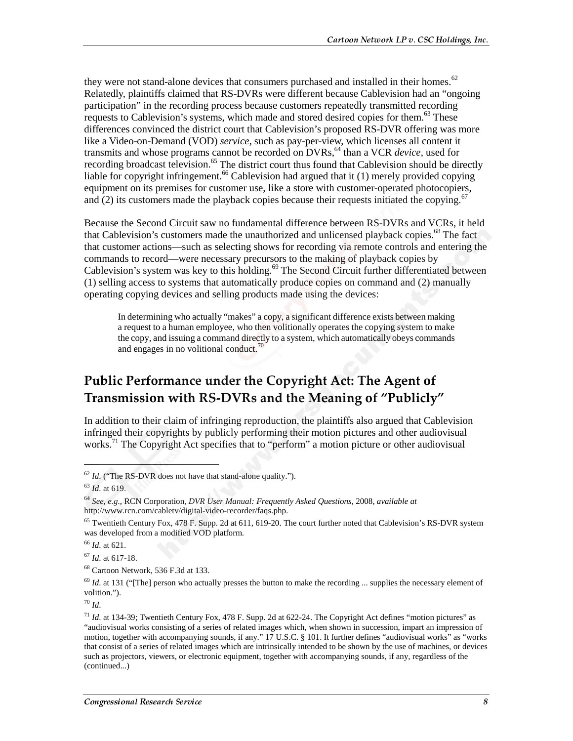they were not stand-alone devices that consumers purchased and installed in their homes.<sup>62</sup> Relatedly, plaintiffs claimed that RS-DVRs were different because Cablevision had an "ongoing participation" in the recording process because customers repeatedly transmitted recording requests to Cablevision's systems, which made and stored desired copies for them.<sup>63</sup> These differences convinced the district court that Cablevision's proposed RS-DVR offering was more like a Video-on-Demand (VOD) *service*, such as pay-per-view, which licenses all content it transmits and whose programs cannot be recorded on DVRs,<sup>64</sup> than a VCR *device*, used for recording broadcast television.<sup>65</sup> The district court thus found that Cablevision should be directly liable for copyright infringement.<sup>66</sup> Cablevision had argued that it  $(1)$  merely provided copying equipment on its premises for customer use, like a store with customer-operated photocopiers, and (2) its customers made the playback copies because their requests initiated the copying.<sup>6</sup>

Because the Second Circuit saw no fundamental difference between RS-DVRs and VCRs, it held that Cablevision's customers made the unauthorized and unlicensed playback copies.<sup>68</sup> The fact that customer actions—such as selecting shows for recording via remote controls and entering the commands to record—were necessary precursors to the making of playback copies by Cablevision's system was key to this holding.<sup>69</sup> The Second Circuit further differentiated between (1) selling access to systems that automatically produce copies on command and (2) manually operating copying devices and selling products made using the devices:

In determining who actually "makes" a copy, a significant difference exists between making a request to a human employee, who then volitionally operates the copying system to make the copy, and issuing a command directly to a system, which automatically obeys commands and engages in no volitional conduct.<sup>70</sup>

#### Public Performance under the Copyright Act: The Agent of Transmission with RS-DVRs and the Meaning of "Publicly"  $\,$

In addition to their claim of infringing reproduction, the plaintiffs also argued that Cablevision infringed their copyrights by publicly performing their motion pictures and other audiovisual works.<sup>71</sup> The Copyright Act specifies that to "perform" a motion picture or other audiovisual

 $\overline{a}$ 

<sup>66</sup> *Id*. at 621.

<sup>67</sup> *Id*. at 617-18.

68 Cartoon Network, 536 F.3d at 133.

<sup>69</sup> *Id.* at 131 ("[The] person who actually presses the button to make the recording ... supplies the necessary element of volition.").

<sup>70</sup> *Id*.

<sup>62</sup> *Id*. ("The RS-DVR does not have that stand-alone quality.").

<sup>63</sup> *Id*. at 619.

<sup>64</sup> *See, e.g.*, RCN Corporation, *DVR User Manual: Frequently Asked Questions*, 2008, *available at* http://www.rcn.com/cabletv/digital-video-recorder/faqs.php.

 $<sup>65</sup>$  Twentieth Century Fox, 478 F. Supp. 2d at 611, 619-20. The court further noted that Cablevision's RS-DVR system</sup> was developed from a modified VOD platform.

 $^{71}$  *Id.* at 134-39; Twentieth Century Fox, 478 F. Supp. 2d at 622-24. The Copyright Act defines "motion pictures" as "audiovisual works consisting of a series of related images which, when shown in succession, impart an impression of motion, together with accompanying sounds, if any." 17 U.S.C. § 101. It further defines "audiovisual works" as "works that consist of a series of related images which are intrinsically intended to be shown by the use of machines, or devices such as projectors, viewers, or electronic equipment, together with accompanying sounds, if any, regardless of the (continued...)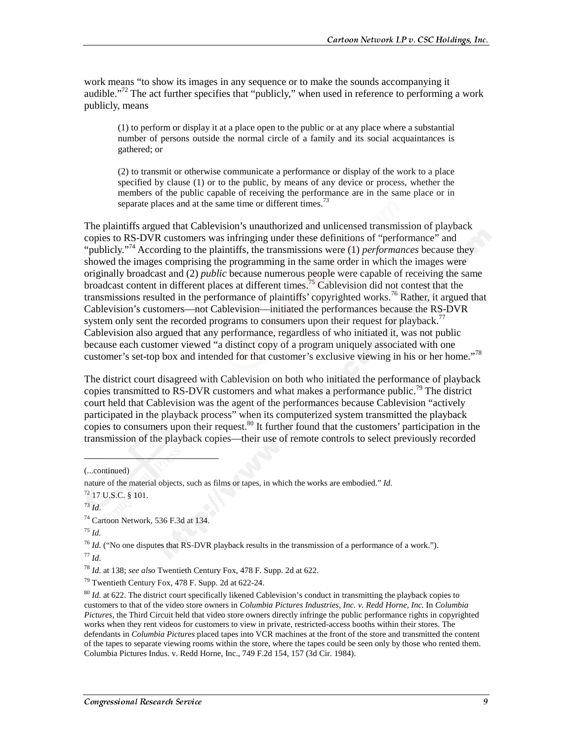work means "to show its images in any sequence or to make the sounds accompanying it audible."72 The act further specifies that "publicly," when used in reference to performing a work publicly, means

(1) to perform or display it at a place open to the public or at any place where a substantial number of persons outside the normal circle of a family and its social acquaintances is gathered; or

(2) to transmit or otherwise communicate a performance or display of the work to a place specified by clause (1) or to the public, by means of any device or process, whether the members of the public capable of receiving the performance are in the same place or in separate places and at the same time or different times.<sup>73</sup>

The plaintiffs argued that Cablevision's unauthorized and unlicensed transmission of playback copies to RS-DVR customers was infringing under these definitions of "performance" and "publicly."<sup>74</sup> According to the plaintiffs, the transmissions were (1) *performances* because they showed the images comprising the programming in the same order in which the images were originally broadcast and (2) *public* because numerous people were capable of receiving the same broadcast content in different places at different times.<sup>75</sup> Cablevision did not contest that the transmissions resulted in the performance of plaintiffs' copyrighted works.<sup>76</sup> Rather, it argued that Cablevision's customers—not Cablevision—initiated the performances because the RS-DVR system only sent the recorded programs to consumers upon their request for playback.<sup>77</sup> Cablevision also argued that any performance, regardless of who initiated it, was not public because each customer viewed "a distinct copy of a program uniquely associated with one customer's set-top box and intended for that customer's exclusive viewing in his or her home."<sup>78</sup>

The district court disagreed with Cablevision on both who initiated the performance of playback copies transmitted to RS-DVR customers and what makes a performance public.<sup>79</sup> The district court held that Cablevision was the agent of the performances because Cablevision "actively participated in the playback process" when its computerized system transmitted the playback copies to consumers upon their request.<sup>80</sup> It further found that the customers' participation in the transmission of the playback copies—their use of remote controls to select previously recorded

(...continued)

 $\overline{a}$ 

74 Cartoon Network, 536 F.3d at 134.

<sup>75</sup> *Id.*

<sup>76</sup> *Id*. ("No one disputes that RS-DVR playback results in the transmission of a performance of a work."). <sup>77</sup> *Id*.

<sup>78</sup> *Id*. at 138; *see also* Twentieth Century Fox, 478 F. Supp. 2d at 622.

79 Twentieth Century Fox, 478 F. Supp. 2d at 622-24.

<sup>80</sup> *Id*. at 622. The district court specifically likened Cablevision's conduct in transmitting the playback copies to customers to that of the video store owners in *Columbia Pictures Industries, Inc. v. Redd Horne, Inc.* In *Columbia Pictures*, the Third Circuit held that video store owners directly infringe the public performance rights in copyrighted works when they rent videos for customers to view in private, restricted-access booths within their stores. The defendants in *Columbia Pictures* placed tapes into VCR machines at the front of the store and transmitted the content of the tapes to separate viewing rooms within the store, where the tapes could be seen only by those who rented them. Columbia Pictures Indus. v. Redd Horne, Inc., 749 F.2d 154, 157 (3d Cir. 1984).

nature of the material objects, such as films or tapes, in which the works are embodied." *Id*.

<sup>72 17</sup> U.S.C. § 101.

<sup>73</sup> *Id*.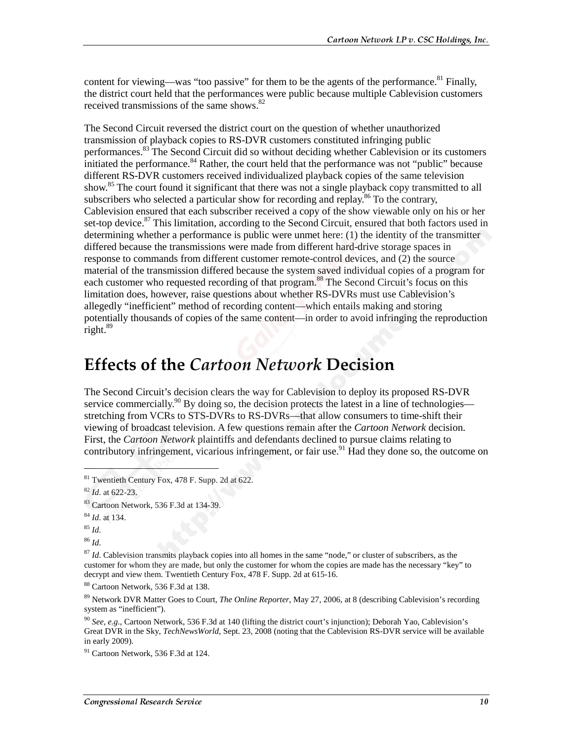content for viewing—was "too passive" for them to be the agents of the performance.<sup>81</sup> Finally, the district court held that the performances were public because multiple Cablevision customers received transmissions of the same shows. $82$ 

The Second Circuit reversed the district court on the question of whether unauthorized transmission of playback copies to RS-DVR customers constituted infringing public performances.<sup>83</sup> The Second Circuit did so without deciding whether Cablevision or its customers initiated the performance.<sup>84</sup> Rather, the court held that the performance was not "public" because different RS-DVR customers received individualized playback copies of the same television show.<sup>85</sup> The court found it significant that there was not a single playback copy transmitted to all subscribers who selected a particular show for recording and replay.<sup>86</sup> To the contrary, Cablevision ensured that each subscriber received a copy of the show viewable only on his or her set-top device.<sup>87</sup> This limitation, according to the Second Circuit, ensured that both factors used in determining whether a performance is public were unmet here: (1) the identity of the transmitter differed because the transmissions were made from different hard-drive storage spaces in response to commands from different customer remote-control devices, and (2) the source material of the transmission differed because the system saved individual copies of a program for each customer who requested recording of that program.<sup>88</sup> The Second Circuit's focus on this limitation does, however, raise questions about whether RS-DVRs must use Cablevision's allegedly "inefficient" method of recording content—which entails making and storing potentially thousands of copies of the same content—in order to avoid infringing the reproduction right.<sup>89</sup>

# **Effects of the Cartoon Network Decision**

The Second Circuit's decision clears the way for Cablevision to deploy its proposed RS-DVR service commercially.<sup>90</sup> By doing so, the decision protects the latest in a line of technologies stretching from VCRs to STS-DVRs to RS-DVRs—that allow consumers to time-shift their viewing of broadcast television. A few questions remain after the *Cartoon Network* decision. First, the *Cartoon Network* plaintiffs and defendants declined to pursue claims relating to contributory infringement, vicarious infringement, or fair use.<sup>91</sup> Had they done so, the outcome on

 $\overline{a}$ 

<sup>86</sup> *Id*.

<sup>87</sup> *Id*. Cablevision transmits playback copies into all homes in the same "node," or cluster of subscribers, as the customer for whom they are made, but only the customer for whom the copies are made has the necessary "key" to decrypt and view them. Twentieth Century Fox, 478 F. Supp. 2d at 615-16.

88 Cartoon Network, 536 F.3d at 138.

89 Network DVR Matter Goes to Court, *The Online Reporter*, May 27, 2006, at 8 (describing Cablevision's recording system as "inefficient").

<sup>90</sup> *See, e.g.*, Cartoon Network, 536 F.3d at 140 (lifting the district court's injunction); Deborah Yao, Cablevision's Great DVR in the Sky, *TechNewsWorld*, Sept. 23, 2008 (noting that the Cablevision RS-DVR service will be available in early 2009).

 $91$  Cartoon Network, 536 F.3d at 124.

<sup>81</sup> Twentieth Century Fox, 478 F. Supp. 2d at 622.

<sup>82</sup> *Id*. at 622-23.

<sup>83</sup> Cartoon Network, 536 F.3d at 134-39.

<sup>84</sup> *Id*. at 134.

<sup>85</sup> *Id*.